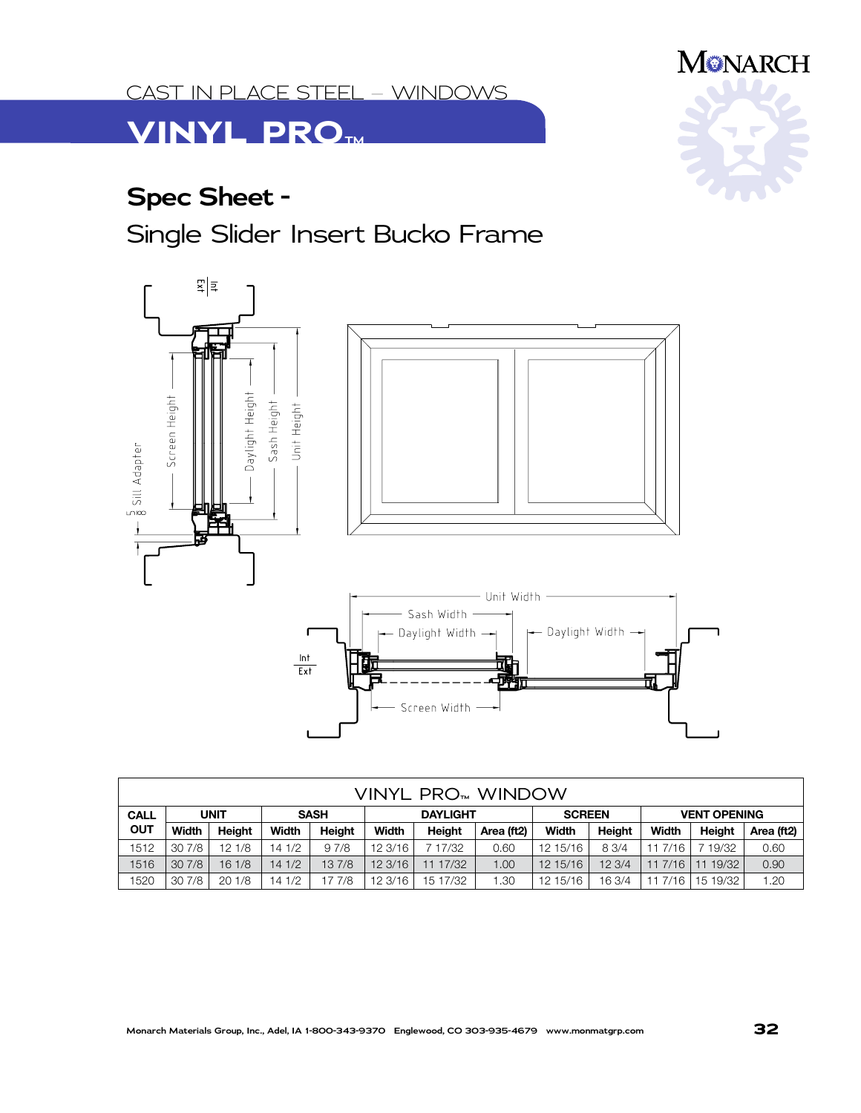**VINYL PRO 4™** CAST IN PLACE STEEL – WINDOWS

## **VINYL PRO™**

## **Spec Sheet -**

Single Slider Insert Bucko Frame



| VINYL PRO <sub>™</sub> WINDOW |             |               |             |        |                 |          |            |               |               |                     |          |            |
|-------------------------------|-------------|---------------|-------------|--------|-----------------|----------|------------|---------------|---------------|---------------------|----------|------------|
| <b>CALL</b>                   | <b>UNIT</b> |               | <b>SASH</b> |        | <b>DAYLIGHT</b> |          |            | <b>SCREEN</b> |               | <b>VENT OPENING</b> |          |            |
| <b>OUT</b>                    | Width       | <b>Height</b> | Width       | Height | Width           | Height   | Area (ft2) | Width         | <b>Height</b> | Width               | Height   | Area (ft2) |
| 1512                          | 30 7/8      | 121/8         | 14 1/2      | 97/8   | 12 3/16         | 7 17/32  | 0.60       | 12 15/16      | 8 3/4         | 11 7/16             | 19/32    | 0.60       |
| 1516                          | 307/8       | 161/8         | 141/2       | 137/8  | 12.3/16         | 11 17/32 | 1.00       | 12,15/16      | 12.3/4        | 117/16              | 19/32    | 0.90       |
| 1520                          | 30 7/8      | 201/8         | 14 1/2      | 17 7/8 | 12 3/16         | 15 17/32 | 1.30       | 12 15/16      | 16 3/4        | 11 7/16             | 15 19/32 | 1.20       |